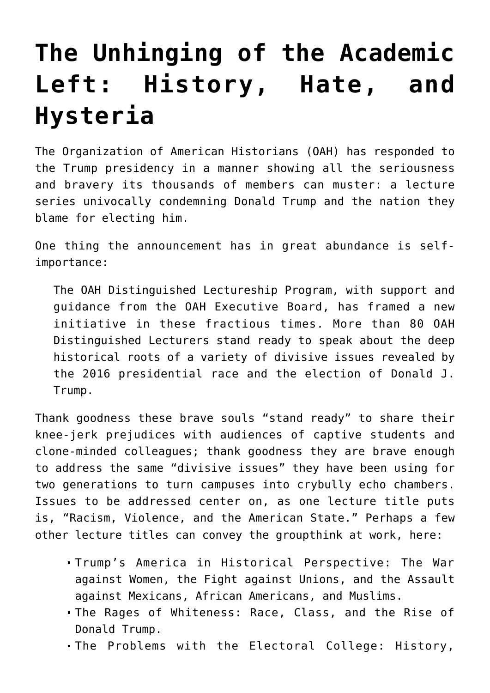## **[The Unhinging of the Academic](https://intellectualtakeout.org/2017/02/the-unhinging-of-the-academic-left-history-hate-and-hysteria/) [Left: History, Hate, and](https://intellectualtakeout.org/2017/02/the-unhinging-of-the-academic-left-history-hate-and-hysteria/) [Hysteria](https://intellectualtakeout.org/2017/02/the-unhinging-of-the-academic-left-history-hate-and-hysteria/)**

The Organization of American Historians (OAH) has responded to the Trump presidency in a manner showing all the seriousness and bravery its thousands of members can muster: a lecture series univocally condemning Donald Trump and the nation they blame for electing him.

One thing the announcement has in great abundance is selfimportance:

The OAH Distinguished Lectureship Program, with support and guidance from the OAH Executive Board, has framed a new initiative in these fractious times. More than 80 OAH Distinguished Lecturers stand ready to speak about the deep historical roots of a variety of divisive issues revealed by the 2016 presidential race and the election of Donald J. Trump.

Thank goodness these brave souls "stand ready" to share their knee-jerk prejudices with audiences of captive students and clone-minded colleagues; thank goodness they are brave enough to address the same "divisive issues" they have been using for two generations to turn campuses into crybully echo chambers. Issues to be addressed center on, as one lecture title puts is, "Racism, Violence, and the American State." Perhaps a few other lecture titles can convey the groupthink at work, here:

- Trump's America in Historical Perspective: The War against Women, the Fight against Unions, and the Assault against Mexicans, African Americans, and Muslims.
- The Rages of Whiteness: Race, Class, and the Rise of Donald Trump.
- The Problems with the Electoral College: History,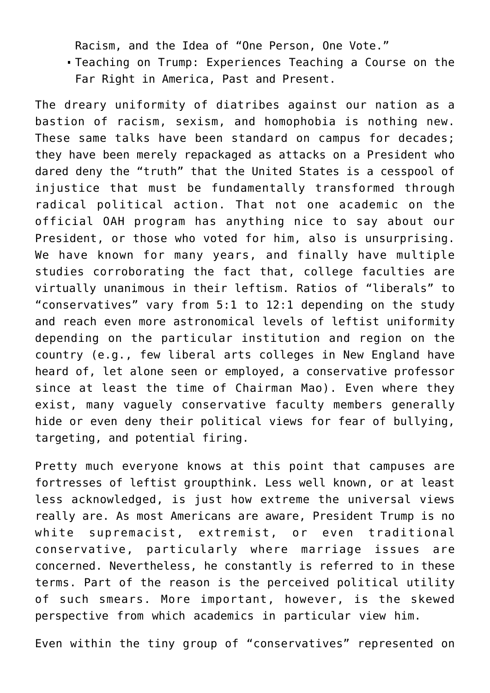Racism, and the Idea of "One Person, One Vote."

Teaching on Trump: Experiences Teaching a Course on the Far Right in America, Past and Present.

The dreary uniformity of diatribes against our nation as a bastion of racism, sexism, and homophobia is nothing new. These same talks have been standard on campus for decades; they have been merely repackaged as attacks on a President who dared deny the "truth" that the United States is a cesspool of injustice that must be fundamentally transformed through radical political action. That not one academic on the official OAH program has anything nice to say about our President, or those who voted for him, also is unsurprising. We have known for many years, and finally have multiple studies corroborating the fact that, college faculties are virtually unanimous in their leftism. Ratios of "liberals" to "conservatives" vary from 5:1 to 12:1 depending on the study and reach even more astronomical levels of leftist uniformity depending on the particular institution and region on the country (e.g., few liberal arts colleges in New England have heard of, let alone seen or employed, a conservative professor since at least the time of Chairman Mao). Even where they exist, many vaguely conservative faculty members generally hide or even deny their political views for fear of bullying, targeting, and potential firing.

Pretty much everyone knows at this point that campuses are fortresses of leftist groupthink. Less well known, or at least less acknowledged, is just how extreme the universal views really are. As most Americans are aware, President Trump is no white supremacist, extremist, or even traditional conservative, particularly where marriage issues are concerned. Nevertheless, he constantly is referred to in these terms. Part of the reason is the perceived political utility of such smears. More important, however, is the skewed perspective from which academics in particular view him.

Even within the tiny group of "conservatives" represented on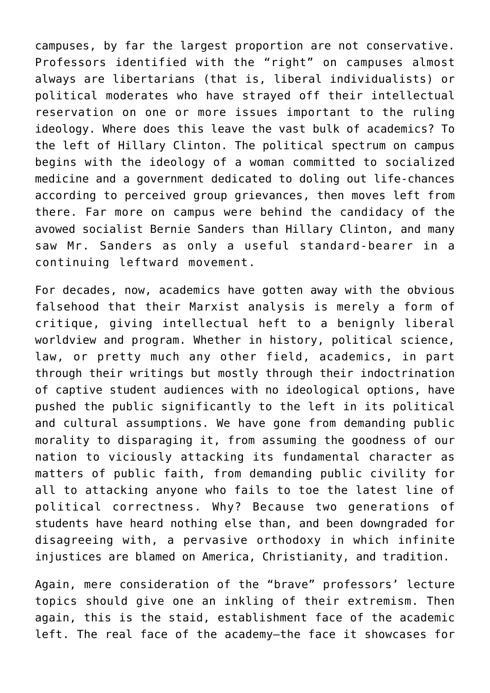campuses, by far the largest proportion are not conservative. Professors identified with the "right" on campuses almost always are libertarians (that is, liberal individualists) or political moderates who have strayed off their intellectual reservation on one or more issues important to the ruling ideology. Where does this leave the vast bulk of academics? To the left of Hillary Clinton. The political spectrum on campus begins with the ideology of a woman committed to socialized medicine and a government dedicated to doling out life-chances according to perceived group grievances, then moves left from there. Far more on campus were behind the candidacy of the avowed socialist Bernie Sanders than Hillary Clinton, and many saw Mr. Sanders as only a useful standard-bearer in a continuing leftward movement.

For decades, now, academics have gotten away with the obvious falsehood that their Marxist analysis is merely a form of critique, giving intellectual heft to a benignly liberal worldview and program. Whether in history, political science, law, or pretty much any other field, academics, in part through their writings but mostly through their indoctrination of captive student audiences with no ideological options, have pushed the public significantly to the left in its political and cultural assumptions. We have gone from demanding public morality to disparaging it, from assuming the goodness of our nation to viciously attacking its fundamental character as matters of public faith, from demanding public civility for all to attacking anyone who fails to toe the latest line of political correctness. Why? Because two generations of students have heard nothing else than, and been downgraded for disagreeing with, a pervasive orthodoxy in which infinite injustices are blamed on America, Christianity, and tradition.

Again, mere consideration of the "brave" professors' lecture topics should give one an inkling of their extremism. Then again, this is the staid, establishment face of the academic left. The real face of the academy—the face it showcases for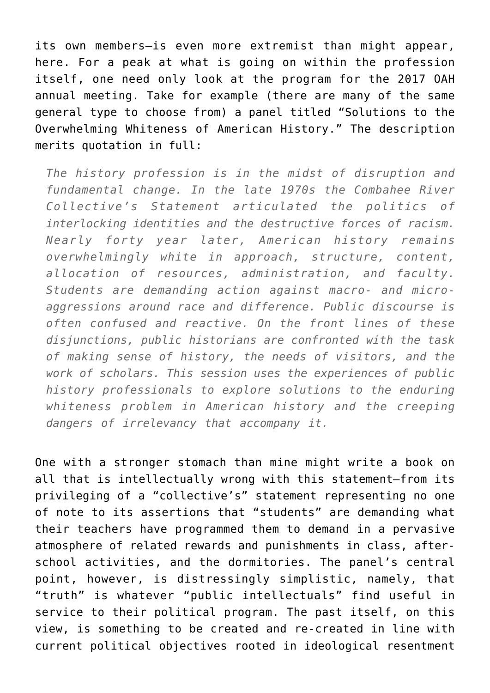its own members—is even more extremist than might appear, here. For a peak at what is going on within the profession itself, one need only look at the program for the 2017 OAH annual meeting. Take for example (there are many of the same general type to choose from) a panel titled "Solutions to the Overwhelming Whiteness of American History." The description merits quotation in full:

*The history profession is in the midst of disruption and fundamental change. In the late 1970s the Combahee River Collective's Statement articulated the politics of interlocking identities and the destructive forces of racism. Nearly forty year later, American history remains overwhelmingly white in approach, structure, content, allocation of resources, administration, and faculty. Students are demanding action against macro- and microaggressions around race and difference. Public discourse is often confused and reactive. On the front lines of these disjunctions, public historians are confronted with the task of making sense of history, the needs of visitors, and the work of scholars. This session uses the experiences of public history professionals to explore solutions to the enduring whiteness problem in American history and the creeping dangers of irrelevancy that accompany it.*

One with a stronger stomach than mine might write a book on all that is intellectually wrong with this statement—from its privileging of a "collective's" statement representing no one of note to its assertions that "students" are demanding what their teachers have programmed them to demand in a pervasive atmosphere of related rewards and punishments in class, afterschool activities, and the dormitories. The panel's central point, however, is distressingly simplistic, namely, that "truth" is whatever "public intellectuals" find useful in service to their political program. The past itself, on this view, is something to be created and re-created in line with current political objectives rooted in ideological resentment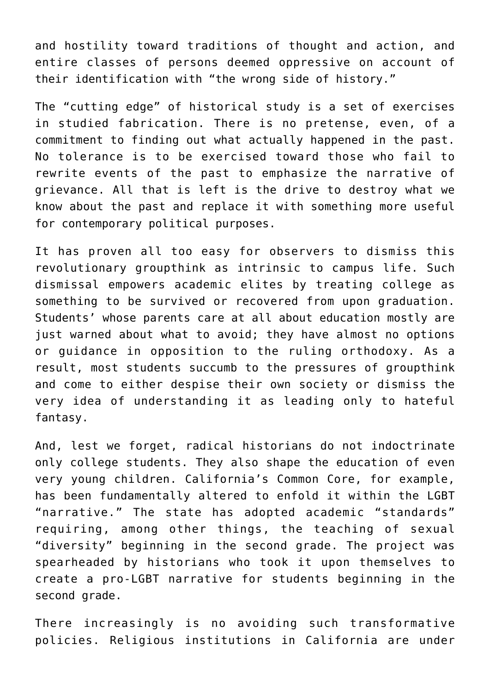and hostility toward traditions of thought and action, and entire classes of persons deemed oppressive on account of their identification with "the wrong side of history."

The "cutting edge" of historical study is a set of exercises in studied fabrication. There is no pretense, even, of a commitment to finding out what actually happened in the past. No tolerance is to be exercised toward those who fail to rewrite events of the past to emphasize the narrative of grievance. All that is left is the drive to destroy what we know about the past and replace it with something more useful for contemporary political purposes.

It has proven all too easy for observers to dismiss this revolutionary groupthink as intrinsic to campus life. Such dismissal empowers academic elites by treating college as something to be survived or recovered from upon graduation. Students' whose parents care at all about education mostly are just warned about what to avoid; they have almost no options or guidance in opposition to the ruling orthodoxy. As a result, most students succumb to the pressures of groupthink and come to either despise their own society or dismiss the very idea of understanding it as leading only to hateful fantasy.

And, lest we forget, radical historians do not indoctrinate only college students. They also shape the education of even very young children. California's Common Core, for example, has been fundamentally altered to enfold it within the LGBT "narrative." The state has adopted academic "standards" requiring, among other things, the teaching of sexual "diversity" beginning in the second grade. The project was spearheaded by historians who took it upon themselves to create a pro-LGBT narrative for students beginning in the second grade.

There increasingly is no avoiding such transformative policies. Religious institutions in California are under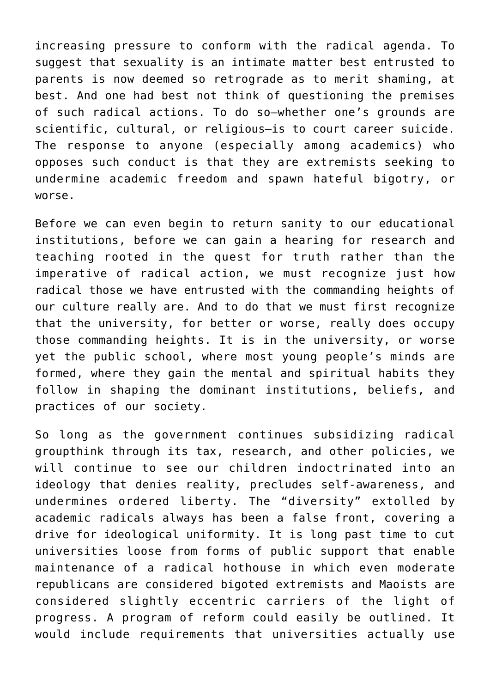increasing pressure to conform with the radical agenda. To suggest that sexuality is an intimate matter best entrusted to parents is now deemed so retrograde as to merit shaming, at best. And one had best not think of questioning the premises of such radical actions. To do so—whether one's grounds are scientific, cultural, or religious—is to court career suicide. The response to anyone (especially among academics) who opposes such conduct is that they are extremists seeking to undermine academic freedom and spawn hateful bigotry, or worse.

Before we can even begin to return sanity to our educational institutions, before we can gain a hearing for research and teaching rooted in the quest for truth rather than the imperative of radical action, we must recognize just how radical those we have entrusted with the commanding heights of our culture really are. And to do that we must first recognize that the university, for better or worse, really does occupy those commanding heights. It is in the university, or worse yet the public school, where most young people's minds are formed, where they gain the mental and spiritual habits they follow in shaping the dominant institutions, beliefs, and practices of our society.

So long as the government continues subsidizing radical groupthink through its tax, research, and other policies, we will continue to see our children indoctrinated into an ideology that denies reality, precludes self-awareness, and undermines ordered liberty. The "diversity" extolled by academic radicals always has been a false front, covering a drive for ideological uniformity. It is long past time to cut universities loose from forms of public support that enable maintenance of a radical hothouse in which even moderate republicans are considered bigoted extremists and Maoists are considered slightly eccentric carriers of the light of progress. A program of reform could easily be outlined. It would include requirements that universities actually use